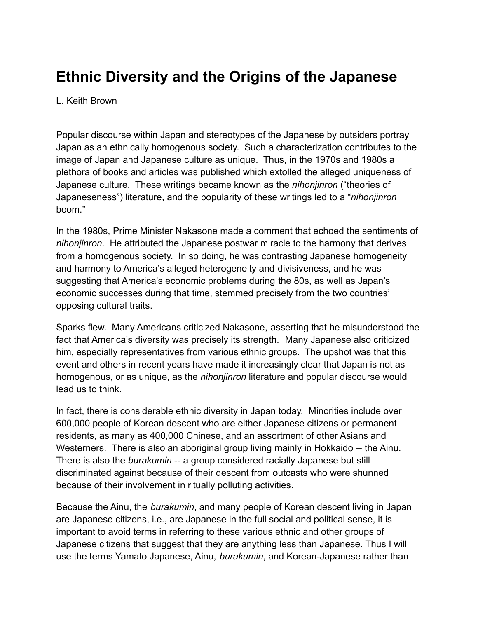# **Ethnic Diversity and the Origins of the Japanese**

#### L. Keith Brown

Popular discourse within Japan and stereotypes of the Japanese by outsiders portray Japan as an ethnically homogenous society. Such a characterization contributes to the image of Japan and Japanese culture as unique. Thus, in the 1970s and 1980s a plethora of books and articles was published which extolled the alleged uniqueness of Japanese culture. These writings became known as the *nihonjinron* ("theories of Japaneseness") literature, and the popularity of these writings led to a "*nihonjinron* boom."

In the 1980s, Prime Minister Nakasone made a comment that echoed the sentiments of *nihonjinron*. He attributed the Japanese postwar miracle to the harmony that derives from a homogenous society. In so doing, he was contrasting Japanese homogeneity and harmony to America's alleged heterogeneity and divisiveness, and he was suggesting that America's economic problems during the 80s, as well as Japan's economic successes during that time, stemmed precisely from the two countries' opposing cultural traits.

Sparks flew. Many Americans criticized Nakasone, asserting that he misunderstood the fact that America's diversity was precisely its strength. Many Japanese also criticized him, especially representatives from various ethnic groups. The upshot was that this event and others in recent years have made it increasingly clear that Japan is not as homogenous, or as unique, as the *nihonjinron* literature and popular discourse would lead us to think.

In fact, there is considerable ethnic diversity in Japan today. Minorities include over 600,000 people of Korean descent who are either Japanese citizens or permanent residents, as many as 400,000 Chinese, and an assortment of other Asians and Westerners. There is also an aboriginal group living mainly in Hokkaido -- the Ainu. There is also the *burakumin* -- a group considered racially Japanese but still discriminated against because of their descent from outcasts who were shunned because of their involvement in ritually polluting activities.

Because the Ainu, the *burakumin*, and many people of Korean descent living in Japan are Japanese citizens, i.e., are Japanese in the full social and political sense, it is important to avoid terms in referring to these various ethnic and other groups of Japanese citizens that suggest that they are anything less than Japanese. Thus I will use the terms Yamato Japanese, Ainu, *burakumin*, and Korean-Japanese rather than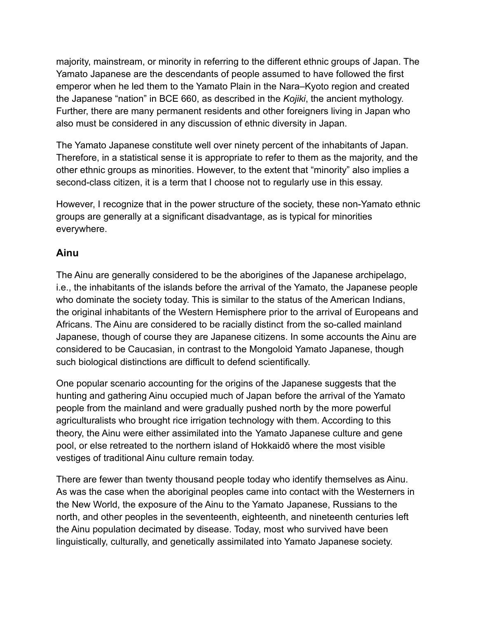majority, mainstream, or minority in referring to the different ethnic groups of Japan. The Yamato Japanese are the descendants of people assumed to have followed the first emperor when he led them to the Yamato Plain in the Nara–Kyoto region and created the Japanese "nation" in BCE 660, as described in the *Kojiki*, the ancient mythology. Further, there are many permanent residents and other foreigners living in Japan who also must be considered in any discussion of ethnic diversity in Japan.

The Yamato Japanese constitute well over ninety percent of the inhabitants of Japan. Therefore, in a statistical sense it is appropriate to refer to them as the majority, and the other ethnic groups as minorities. However, to the extent that "minority" also implies a second-class citizen, it is a term that I choose not to regularly use in this essay.

However, I recognize that in the power structure of the society, these non-Yamato ethnic groups are generally at a significant disadvantage, as is typical for minorities everywhere.

## **Ainu**

The Ainu are generally considered to be the aborigines of the Japanese archipelago, i.e., the inhabitants of the islands before the arrival of the Yamato, the Japanese people who dominate the society today. This is similar to the status of the American Indians, the original inhabitants of the Western Hemisphere prior to the arrival of Europeans and Africans. The Ainu are considered to be racially distinct from the so-called mainland Japanese, though of course they are Japanese citizens. In some accounts the Ainu are considered to be Caucasian, in contrast to the Mongoloid Yamato Japanese, though such biological distinctions are difficult to defend scientifically.

One popular scenario accounting for the origins of the Japanese suggests that the hunting and gathering Ainu occupied much of Japan before the arrival of the Yamato people from the mainland and were gradually pushed north by the more powerful agriculturalists who brought rice irrigation technology with them. According to this theory, the Ainu were either assimilated into the Yamato Japanese culture and gene pool, or else retreated to the northern island of Hokkaidō where the most visible vestiges of traditional Ainu culture remain today.

There are fewer than twenty thousand people today who identify themselves as Ainu. As was the case when the aboriginal peoples came into contact with the Westerners in the New World, the exposure of the Ainu to the Yamato Japanese, Russians to the north, and other peoples in the seventeenth, eighteenth, and nineteenth centuries left the Ainu population decimated by disease. Today, most who survived have been linguistically, culturally, and genetically assimilated into Yamato Japanese society.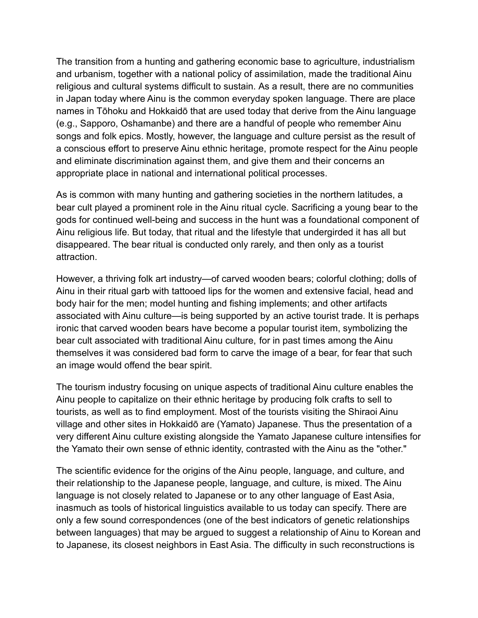The transition from a hunting and gathering economic base to agriculture, industrialism and urbanism, together with a national policy of assimilation, made the traditional Ainu religious and cultural systems difficult to sustain. As a result, there are no communities in Japan today where Ainu is the common everyday spoken language. There are place names in Tōhoku and Hokkaidō that are used today that derive from the Ainu language (e.g., Sapporo, Oshamanbe) and there are a handful of people who remember Ainu songs and folk epics. Mostly, however, the language and culture persist as the result of a conscious effort to preserve Ainu ethnic heritage, promote respect for the Ainu people and eliminate discrimination against them, and give them and their concerns an appropriate place in national and international political processes.

As is common with many hunting and gathering societies in the northern latitudes, a bear cult played a prominent role in the Ainu ritual cycle. Sacrificing a young bear to the gods for continued well-being and success in the hunt was a foundational component of Ainu religious life. But today, that ritual and the lifestyle that undergirded it has all but disappeared. The bear ritual is conducted only rarely, and then only as a tourist attraction.

However, a thriving folk art industry—of carved wooden bears; colorful clothing; dolls of Ainu in their ritual garb with tattooed lips for the women and extensive facial, head and body hair for the men; model hunting and fishing implements; and other artifacts associated with Ainu culture—is being supported by an active tourist trade. It is perhaps ironic that carved wooden bears have become a popular tourist item, symbolizing the bear cult associated with traditional Ainu culture, for in past times among the Ainu themselves it was considered bad form to carve the image of a bear, for fear that such an image would offend the bear spirit.

The tourism industry focusing on unique aspects of traditional Ainu culture enables the Ainu people to capitalize on their ethnic heritage by producing folk crafts to sell to tourists, as well as to find employment. Most of the tourists visiting the Shiraoi Ainu village and other sites in Hokkaidō are (Yamato) Japanese. Thus the presentation of a very different Ainu culture existing alongside the Yamato Japanese culture intensifies for the Yamato their own sense of ethnic identity, contrasted with the Ainu as the "other."

The scientific evidence for the origins of the Ainu people, language, and culture, and their relationship to the Japanese people, language, and culture, is mixed. The Ainu language is not closely related to Japanese or to any other language of East Asia, inasmuch as tools of historical linguistics available to us today can specify. There are only a few sound correspondences (one of the best indicators of genetic relationships between languages) that may be argued to suggest a relationship of Ainu to Korean and to Japanese, its closest neighbors in East Asia. The difficulty in such reconstructions is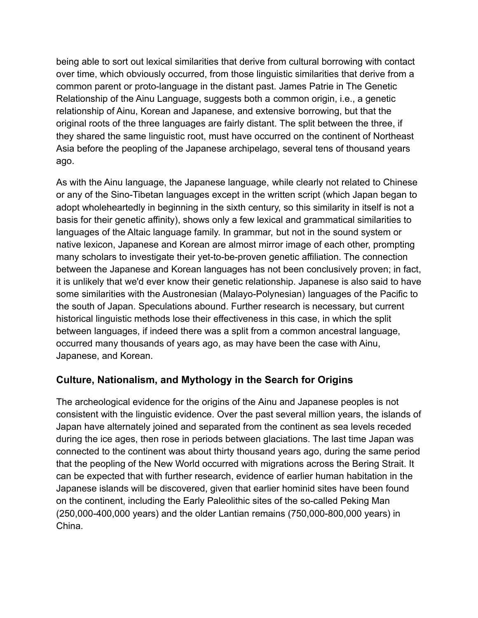being able to sort out lexical similarities that derive from cultural borrowing with contact over time, which obviously occurred, from those linguistic similarities that derive from a common parent or proto-language in the distant past. James Patrie in The Genetic Relationship of the Ainu Language, suggests both a common origin, i.e., a genetic relationship of Ainu, Korean and Japanese, and extensive borrowing, but that the original roots of the three languages are fairly distant. The split between the three, if they shared the same linguistic root, must have occurred on the continent of Northeast Asia before the peopling of the Japanese archipelago, several tens of thousand years ago.

As with the Ainu language, the Japanese language, while clearly not related to Chinese or any of the Sino-Tibetan languages except in the written script (which Japan began to adopt wholeheartedly in beginning in the sixth century, so this similarity in itself is not a basis for their genetic affinity), shows only a few lexical and grammatical similarities to languages of the Altaic language family. In grammar, but not in the sound system or native lexicon, Japanese and Korean are almost mirror image of each other, prompting many scholars to investigate their yet-to-be-proven genetic affiliation. The connection between the Japanese and Korean languages has not been conclusively proven; in fact, it is unlikely that we'd ever know their genetic relationship. Japanese is also said to have some similarities with the Austronesian (Malayo-Polynesian) languages of the Pacific to the south of Japan. Speculations abound. Further research is necessary, but current historical linguistic methods lose their effectiveness in this case, in which the split between languages, if indeed there was a split from a common ancestral language, occurred many thousands of years ago, as may have been the case with Ainu, Japanese, and Korean.

## **Culture, Nationalism, and Mythology in the Search for Origins**

The archeological evidence for the origins of the Ainu and Japanese peoples is not consistent with the linguistic evidence. Over the past several million years, the islands of Japan have alternately joined and separated from the continent as sea levels receded during the ice ages, then rose in periods between glaciations. The last time Japan was connected to the continent was about thirty thousand years ago, during the same period that the peopling of the New World occurred with migrations across the Bering Strait. It can be expected that with further research, evidence of earlier human habitation in the Japanese islands will be discovered, given that earlier hominid sites have been found on the continent, including the Early Paleolithic sites of the so-called Peking Man (250,000-400,000 years) and the older Lantian remains (750,000-800,000 years) in China.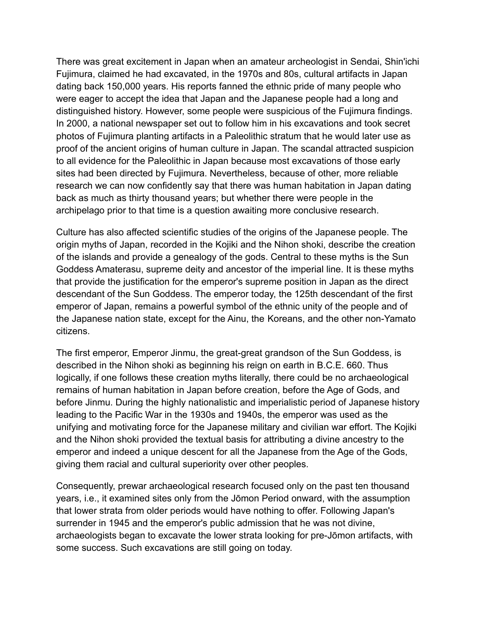There was great excitement in Japan when an amateur archeologist in Sendai, Shin'ichi Fujimura, claimed he had excavated, in the 1970s and 80s, cultural artifacts in Japan dating back 150,000 years. His reports fanned the ethnic pride of many people who were eager to accept the idea that Japan and the Japanese people had a long and distinguished history. However, some people were suspicious of the Fujimura findings. In 2000, a national newspaper set out to follow him in his excavations and took secret photos of Fujimura planting artifacts in a Paleolithic stratum that he would later use as proof of the ancient origins of human culture in Japan. The scandal attracted suspicion to all evidence for the Paleolithic in Japan because most excavations of those early sites had been directed by Fujimura. Nevertheless, because of other, more reliable research we can now confidently say that there was human habitation in Japan dating back as much as thirty thousand years; but whether there were people in the archipelago prior to that time is a question awaiting more conclusive research.

Culture has also affected scientific studies of the origins of the Japanese people. The origin myths of Japan, recorded in the Kojiki and the Nihon shoki, describe the creation of the islands and provide a genealogy of the gods. Central to these myths is the Sun Goddess Amaterasu, supreme deity and ancestor of the imperial line. It is these myths that provide the justification for the emperor's supreme position in Japan as the direct descendant of the Sun Goddess. The emperor today, the 125th descendant of the first emperor of Japan, remains a powerful symbol of the ethnic unity of the people and of the Japanese nation state, except for the Ainu, the Koreans, and the other non-Yamato citizens.

The first emperor, Emperor Jinmu, the great-great grandson of the Sun Goddess, is described in the Nihon shoki as beginning his reign on earth in B.C.E. 660. Thus logically, if one follows these creation myths literally, there could be no archaeological remains of human habitation in Japan before creation, before the Age of Gods, and before Jinmu. During the highly nationalistic and imperialistic period of Japanese history leading to the Pacific War in the 1930s and 1940s, the emperor was used as the unifying and motivating force for the Japanese military and civilian war effort. The Kojiki and the Nihon shoki provided the textual basis for attributing a divine ancestry to the emperor and indeed a unique descent for all the Japanese from the Age of the Gods, giving them racial and cultural superiority over other peoples.

Consequently, prewar archaeological research focused only on the past ten thousand years, i.e., it examined sites only from the Jōmon Period onward, with the assumption that lower strata from older periods would have nothing to offer. Following Japan's surrender in 1945 and the emperor's public admission that he was not divine, archaeologists began to excavate the lower strata looking for pre-Jōmon artifacts, with some success. Such excavations are still going on today.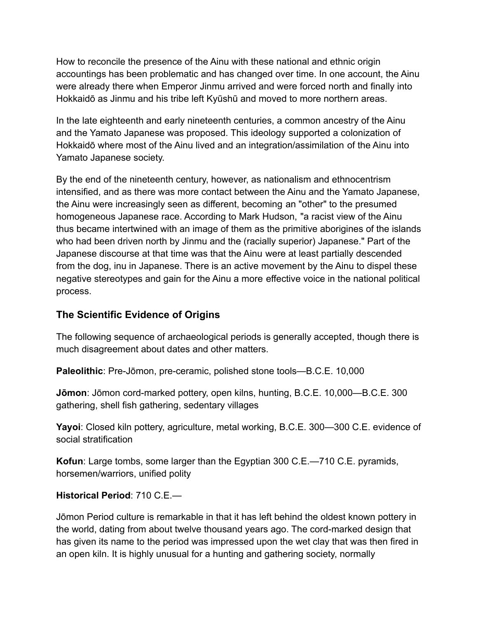How to reconcile the presence of the Ainu with these national and ethnic origin accountings has been problematic and has changed over time. In one account, the Ainu were already there when Emperor Jinmu arrived and were forced north and finally into Hokkaidō as Jinmu and his tribe left Kyūshū and moved to more northern areas.

In the late eighteenth and early nineteenth centuries, a common ancestry of the Ainu and the Yamato Japanese was proposed. This ideology supported a colonization of Hokkaidō where most of the Ainu lived and an integration/assimilation of the Ainu into Yamato Japanese society.

By the end of the nineteenth century, however, as nationalism and ethnocentrism intensified, and as there was more contact between the Ainu and the Yamato Japanese, the Ainu were increasingly seen as different, becoming an "other" to the presumed homogeneous Japanese race. According to Mark Hudson, "a racist view of the Ainu thus became intertwined with an image of them as the primitive aborigines of the islands who had been driven north by Jinmu and the (racially superior) Japanese." Part of the Japanese discourse at that time was that the Ainu were at least partially descended from the dog, inu in Japanese. There is an active movement by the Ainu to dispel these negative stereotypes and gain for the Ainu a more effective voice in the national political process.

# **The Scientific Evidence of Origins**

The following sequence of archaeological periods is generally accepted, though there is much disagreement about dates and other matters.

**Paleolithic**: Pre-Jōmon, pre-ceramic, polished stone tools—B.C.E. 10,000

**Jōmon**: Jōmon cord-marked pottery, open kilns, hunting, B.C.E. 10,000—B.C.E. 300 gathering, shell fish gathering, sedentary villages

**Yayoi**: Closed kiln pottery, agriculture, metal working, B.C.E. 300—300 C.E. evidence of social stratification

**Kofun**: Large tombs, some larger than the Egyptian 300 C.E.—710 C.E. pyramids, horsemen/warriors, unified polity

#### **Historical Period**: 710 C.E.—

Jōmon Period culture is remarkable in that it has left behind the oldest known pottery in the world, dating from about twelve thousand years ago. The cord-marked design that has given its name to the period was impressed upon the wet clay that was then fired in an open kiln. It is highly unusual for a hunting and gathering society, normally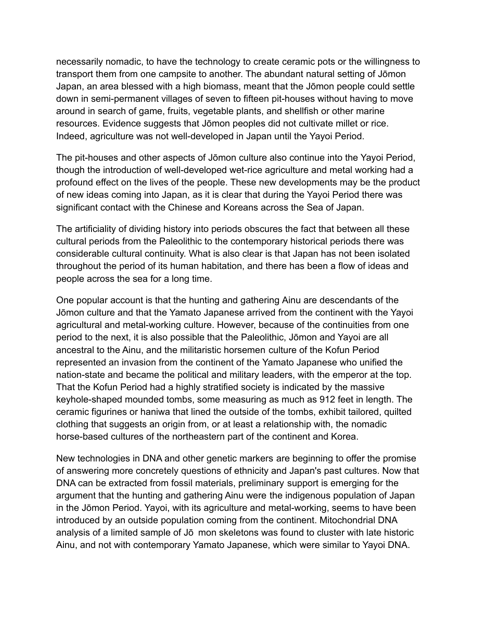necessarily nomadic, to have the technology to create ceramic pots or the willingness to transport them from one campsite to another. The abundant natural setting of Jōmon Japan, an area blessed with a high biomass, meant that the Jōmon people could settle down in semi-permanent villages of seven to fifteen pit-houses without having to move around in search of game, fruits, vegetable plants, and shellfish or other marine resources. Evidence suggests that Jōmon peoples did not cultivate millet or rice. Indeed, agriculture was not well-developed in Japan until the Yayoi Period.

The pit-houses and other aspects of Jōmon culture also continue into the Yayoi Period, though the introduction of well-developed wet-rice agriculture and metal working had a profound effect on the lives of the people. These new developments may be the product of new ideas coming into Japan, as it is clear that during the Yayoi Period there was significant contact with the Chinese and Koreans across the Sea of Japan.

The artificiality of dividing history into periods obscures the fact that between all these cultural periods from the Paleolithic to the contemporary historical periods there was considerable cultural continuity. What is also clear is that Japan has not been isolated throughout the period of its human habitation, and there has been a flow of ideas and people across the sea for a long time.

One popular account is that the hunting and gathering Ainu are descendants of the Jōmon culture and that the Yamato Japanese arrived from the continent with the Yayoi agricultural and metal-working culture. However, because of the continuities from one period to the next, it is also possible that the Paleolithic, Jōmon and Yayoi are all ancestral to the Ainu, and the militaristic horsemen culture of the Kofun Period represented an invasion from the continent of the Yamato Japanese who unified the nation-state and became the political and military leaders, with the emperor at the top. That the Kofun Period had a highly stratified society is indicated by the massive keyhole-shaped mounded tombs, some measuring as much as 912 feet in length. The ceramic figurines or haniwa that lined the outside of the tombs, exhibit tailored, quilted clothing that suggests an origin from, or at least a relationship with, the nomadic horse-based cultures of the northeastern part of the continent and Korea.

New technologies in DNA and other genetic markers are beginning to offer the promise of answering more concretely questions of ethnicity and Japan's past cultures. Now that DNA can be extracted from fossil materials, preliminary support is emerging for the argument that the hunting and gathering Ainu were the indigenous population of Japan in the Jōmon Period. Yayoi, with its agriculture and metal-working, seems to have been introduced by an outside population coming from the continent. Mitochondrial DNA analysis of a limited sample of Jō mon skeletons was found to cluster with late historic Ainu, and not with contemporary Yamato Japanese, which were similar to Yayoi DNA.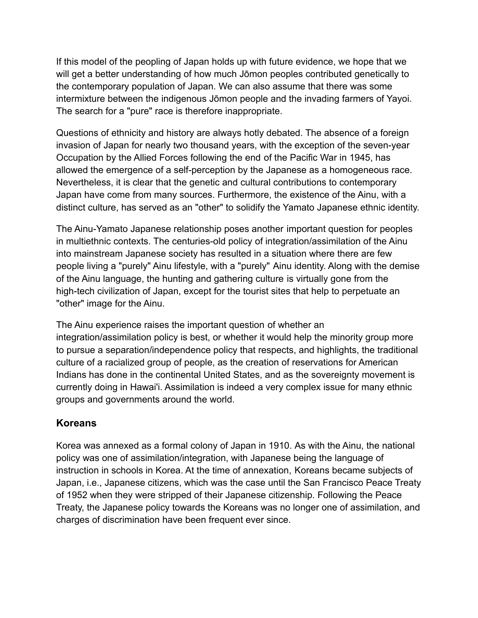If this model of the peopling of Japan holds up with future evidence, we hope that we will get a better understanding of how much Jōmon peoples contributed genetically to the contemporary population of Japan. We can also assume that there was some intermixture between the indigenous Jōmon people and the invading farmers of Yayoi. The search for a "pure" race is therefore inappropriate.

Questions of ethnicity and history are always hotly debated. The absence of a foreign invasion of Japan for nearly two thousand years, with the exception of the seven-year Occupation by the Allied Forces following the end of the Pacific War in 1945, has allowed the emergence of a self-perception by the Japanese as a homogeneous race. Nevertheless, it is clear that the genetic and cultural contributions to contemporary Japan have come from many sources. Furthermore, the existence of the Ainu, with a distinct culture, has served as an "other" to solidify the Yamato Japanese ethnic identity.

The Ainu-Yamato Japanese relationship poses another important question for peoples in multiethnic contexts. The centuries-old policy of integration/assimilation of the Ainu into mainstream Japanese society has resulted in a situation where there are few people living a "purely" Ainu lifestyle, with a "purely" Ainu identity. Along with the demise of the Ainu language, the hunting and gathering culture is virtually gone from the high-tech civilization of Japan, except for the tourist sites that help to perpetuate an "other" image for the Ainu.

The Ainu experience raises the important question of whether an integration/assimilation policy is best, or whether it would help the minority group more to pursue a separation/independence policy that respects, and highlights, the traditional culture of a racialized group of people, as the creation of reservations for American Indians has done in the continental United States, and as the sovereignty movement is currently doing in Hawai'i. Assimilation is indeed a very complex issue for many ethnic groups and governments around the world.

## **Koreans**

Korea was annexed as a formal colony of Japan in 1910. As with the Ainu, the national policy was one of assimilation/integration, with Japanese being the language of instruction in schools in Korea. At the time of annexation, Koreans became subjects of Japan, i.e., Japanese citizens, which was the case until the San Francisco Peace Treaty of 1952 when they were stripped of their Japanese citizenship. Following the Peace Treaty, the Japanese policy towards the Koreans was no longer one of assimilation, and charges of discrimination have been frequent ever since.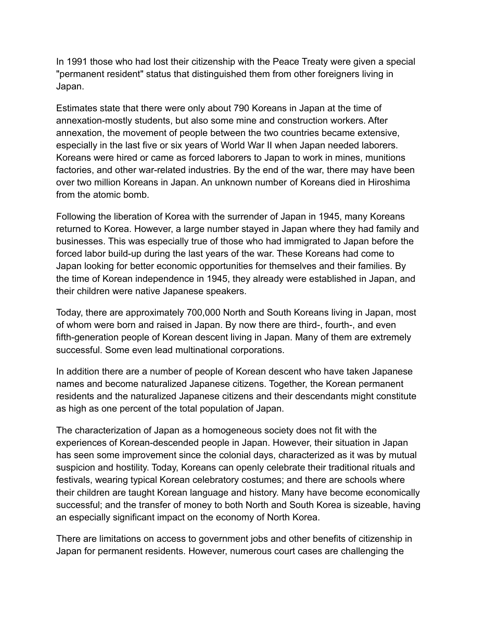In 1991 those who had lost their citizenship with the Peace Treaty were given a special "permanent resident" status that distinguished them from other foreigners living in Japan.

Estimates state that there were only about 790 Koreans in Japan at the time of annexation-mostly students, but also some mine and construction workers. After annexation, the movement of people between the two countries became extensive, especially in the last five or six years of World War II when Japan needed laborers. Koreans were hired or came as forced laborers to Japan to work in mines, munitions factories, and other war-related industries. By the end of the war, there may have been over two million Koreans in Japan. An unknown number of Koreans died in Hiroshima from the atomic bomb.

Following the liberation of Korea with the surrender of Japan in 1945, many Koreans returned to Korea. However, a large number stayed in Japan where they had family and businesses. This was especially true of those who had immigrated to Japan before the forced labor build-up during the last years of the war. These Koreans had come to Japan looking for better economic opportunities for themselves and their families. By the time of Korean independence in 1945, they already were established in Japan, and their children were native Japanese speakers.

Today, there are approximately 700,000 North and South Koreans living in Japan, most of whom were born and raised in Japan. By now there are third-, fourth-, and even fifth-generation people of Korean descent living in Japan. Many of them are extremely successful. Some even lead multinational corporations.

In addition there are a number of people of Korean descent who have taken Japanese names and become naturalized Japanese citizens. Together, the Korean permanent residents and the naturalized Japanese citizens and their descendants might constitute as high as one percent of the total population of Japan.

The characterization of Japan as a homogeneous society does not fit with the experiences of Korean-descended people in Japan. However, their situation in Japan has seen some improvement since the colonial days, characterized as it was by mutual suspicion and hostility. Today, Koreans can openly celebrate their traditional rituals and festivals, wearing typical Korean celebratory costumes; and there are schools where their children are taught Korean language and history. Many have become economically successful; and the transfer of money to both North and South Korea is sizeable, having an especially significant impact on the economy of North Korea.

There are limitations on access to government jobs and other benefits of citizenship in Japan for permanent residents. However, numerous court cases are challenging the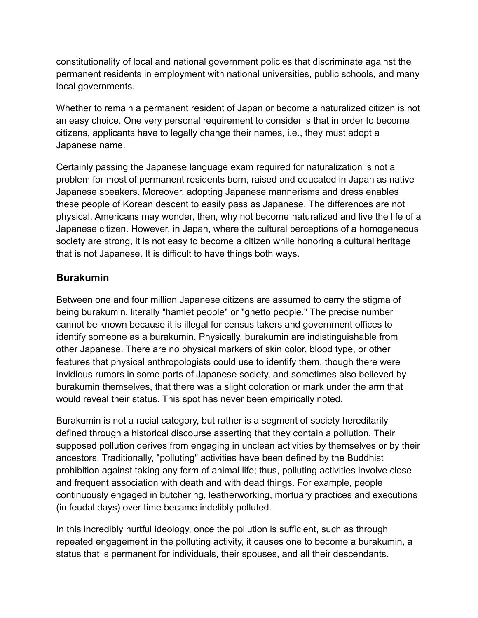constitutionality of local and national government policies that discriminate against the permanent residents in employment with national universities, public schools, and many local governments.

Whether to remain a permanent resident of Japan or become a naturalized citizen is not an easy choice. One very personal requirement to consider is that in order to become citizens, applicants have to legally change their names, i.e., they must adopt a Japanese name.

Certainly passing the Japanese language exam required for naturalization is not a problem for most of permanent residents born, raised and educated in Japan as native Japanese speakers. Moreover, adopting Japanese mannerisms and dress enables these people of Korean descent to easily pass as Japanese. The differences are not physical. Americans may wonder, then, why not become naturalized and live the life of a Japanese citizen. However, in Japan, where the cultural perceptions of a homogeneous society are strong, it is not easy to become a citizen while honoring a cultural heritage that is not Japanese. It is difficult to have things both ways.

## **Burakumin**

Between one and four million Japanese citizens are assumed to carry the stigma of being burakumin, literally "hamlet people" or "ghetto people." The precise number cannot be known because it is illegal for census takers and government offices to identify someone as a burakumin. Physically, burakumin are indistinguishable from other Japanese. There are no physical markers of skin color, blood type, or other features that physical anthropologists could use to identify them, though there were invidious rumors in some parts of Japanese society, and sometimes also believed by burakumin themselves, that there was a slight coloration or mark under the arm that would reveal their status. This spot has never been empirically noted.

Burakumin is not a racial category, but rather is a segment of society hereditarily defined through a historical discourse asserting that they contain a pollution. Their supposed pollution derives from engaging in unclean activities by themselves or by their ancestors. Traditionally, "polluting" activities have been defined by the Buddhist prohibition against taking any form of animal life; thus, polluting activities involve close and frequent association with death and with dead things. For example, people continuously engaged in butchering, leatherworking, mortuary practices and executions (in feudal days) over time became indelibly polluted.

In this incredibly hurtful ideology, once the pollution is sufficient, such as through repeated engagement in the polluting activity, it causes one to become a burakumin, a status that is permanent for individuals, their spouses, and all their descendants.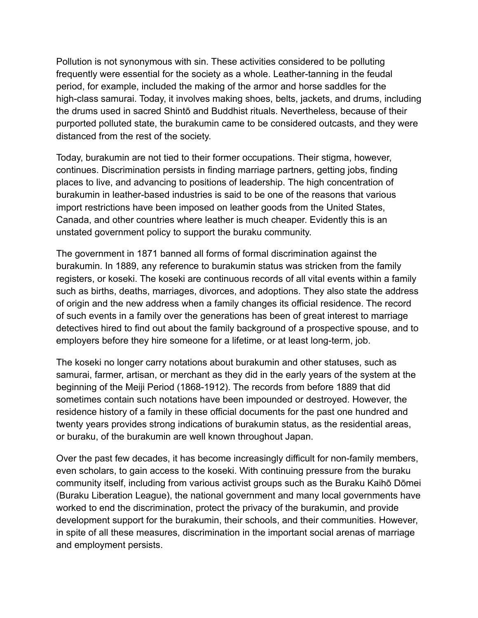Pollution is not synonymous with sin. These activities considered to be polluting frequently were essential for the society as a whole. Leather-tanning in the feudal period, for example, included the making of the armor and horse saddles for the high-class samurai. Today, it involves making shoes, belts, jackets, and drums, including the drums used in sacred Shintō and Buddhist rituals. Nevertheless, because of their purported polluted state, the burakumin came to be considered outcasts, and they were distanced from the rest of the society.

Today, burakumin are not tied to their former occupations. Their stigma, however, continues. Discrimination persists in finding marriage partners, getting jobs, finding places to live, and advancing to positions of leadership. The high concentration of burakumin in leather-based industries is said to be one of the reasons that various import restrictions have been imposed on leather goods from the United States, Canada, and other countries where leather is much cheaper. Evidently this is an unstated government policy to support the buraku community.

The government in 1871 banned all forms of formal discrimination against the burakumin. In 1889, any reference to burakumin status was stricken from the family registers, or koseki. The koseki are continuous records of all vital events within a family such as births, deaths, marriages, divorces, and adoptions. They also state the address of origin and the new address when a family changes its official residence. The record of such events in a family over the generations has been of great interest to marriage detectives hired to find out about the family background of a prospective spouse, and to employers before they hire someone for a lifetime, or at least long-term, job.

The koseki no longer carry notations about burakumin and other statuses, such as samurai, farmer, artisan, or merchant as they did in the early years of the system at the beginning of the Meiji Period (1868-1912). The records from before 1889 that did sometimes contain such notations have been impounded or destroyed. However, the residence history of a family in these official documents for the past one hundred and twenty years provides strong indications of burakumin status, as the residential areas, or buraku, of the burakumin are well known throughout Japan.

Over the past few decades, it has become increasingly difficult for non-family members, even scholars, to gain access to the koseki. With continuing pressure from the buraku community itself, including from various activist groups such as the Buraku Kaihō Dōmei (Buraku Liberation League), the national government and many local governments have worked to end the discrimination, protect the privacy of the burakumin, and provide development support for the burakumin, their schools, and their communities. However, in spite of all these measures, discrimination in the important social arenas of marriage and employment persists.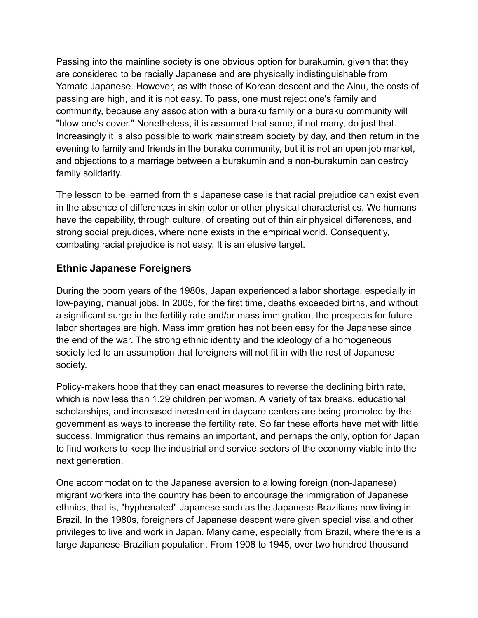Passing into the mainline society is one obvious option for burakumin, given that they are considered to be racially Japanese and are physically indistinguishable from Yamato Japanese. However, as with those of Korean descent and the Ainu, the costs of passing are high, and it is not easy. To pass, one must reject one's family and community, because any association with a buraku family or a buraku community will "blow one's cover." Nonetheless, it is assumed that some, if not many, do just that. Increasingly it is also possible to work mainstream society by day, and then return in the evening to family and friends in the buraku community, but it is not an open job market, and objections to a marriage between a burakumin and a non-burakumin can destroy family solidarity.

The lesson to be learned from this Japanese case is that racial prejudice can exist even in the absence of differences in skin color or other physical characteristics. We humans have the capability, through culture, of creating out of thin air physical differences, and strong social prejudices, where none exists in the empirical world. Consequently, combating racial prejudice is not easy. It is an elusive target.

## **Ethnic Japanese Foreigners**

During the boom years of the 1980s, Japan experienced a labor shortage, especially in low-paying, manual jobs. In 2005, for the first time, deaths exceeded births, and without a significant surge in the fertility rate and/or mass immigration, the prospects for future labor shortages are high. Mass immigration has not been easy for the Japanese since the end of the war. The strong ethnic identity and the ideology of a homogeneous society led to an assumption that foreigners will not fit in with the rest of Japanese society.

Policy-makers hope that they can enact measures to reverse the declining birth rate, which is now less than 1.29 children per woman. A variety of tax breaks, educational scholarships, and increased investment in daycare centers are being promoted by the government as ways to increase the fertility rate. So far these efforts have met with little success. Immigration thus remains an important, and perhaps the only, option for Japan to find workers to keep the industrial and service sectors of the economy viable into the next generation.

One accommodation to the Japanese aversion to allowing foreign (non-Japanese) migrant workers into the country has been to encourage the immigration of Japanese ethnics, that is, "hyphenated" Japanese such as the Japanese-Brazilians now living in Brazil. In the 1980s, foreigners of Japanese descent were given special visa and other privileges to live and work in Japan. Many came, especially from Brazil, where there is a large Japanese-Brazilian population. From 1908 to 1945, over two hundred thousand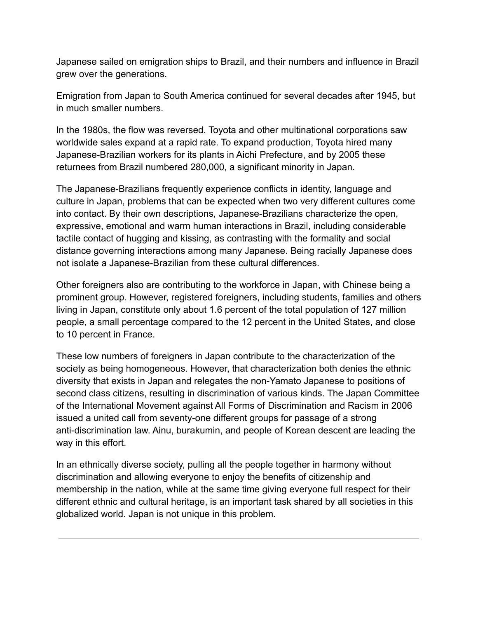Japanese sailed on emigration ships to Brazil, and their numbers and influence in Brazil grew over the generations.

Emigration from Japan to South America continued for several decades after 1945, but in much smaller numbers.

In the 1980s, the flow was reversed. Toyota and other multinational corporations saw worldwide sales expand at a rapid rate. To expand production, Toyota hired many Japanese-Brazilian workers for its plants in Aichi Prefecture, and by 2005 these returnees from Brazil numbered 280,000, a significant minority in Japan.

The Japanese-Brazilians frequently experience conflicts in identity, language and culture in Japan, problems that can be expected when two very different cultures come into contact. By their own descriptions, Japanese-Brazilians characterize the open, expressive, emotional and warm human interactions in Brazil, including considerable tactile contact of hugging and kissing, as contrasting with the formality and social distance governing interactions among many Japanese. Being racially Japanese does not isolate a Japanese-Brazilian from these cultural differences.

Other foreigners also are contributing to the workforce in Japan, with Chinese being a prominent group. However, registered foreigners, including students, families and others living in Japan, constitute only about 1.6 percent of the total population of 127 million people, a small percentage compared to the 12 percent in the United States, and close to 10 percent in France.

These low numbers of foreigners in Japan contribute to the characterization of the society as being homogeneous. However, that characterization both denies the ethnic diversity that exists in Japan and relegates the non-Yamato Japanese to positions of second class citizens, resulting in discrimination of various kinds. The Japan Committee of the International Movement against All Forms of Discrimination and Racism in 2006 issued a united call from seventy-one different groups for passage of a strong anti-discrimination law. Ainu, burakumin, and people of Korean descent are leading the way in this effort.

In an ethnically diverse society, pulling all the people together in harmony without discrimination and allowing everyone to enjoy the benefits of citizenship and membership in the nation, while at the same time giving everyone full respect for their different ethnic and cultural heritage, is an important task shared by all societies in this globalized world. Japan is not unique in this problem.